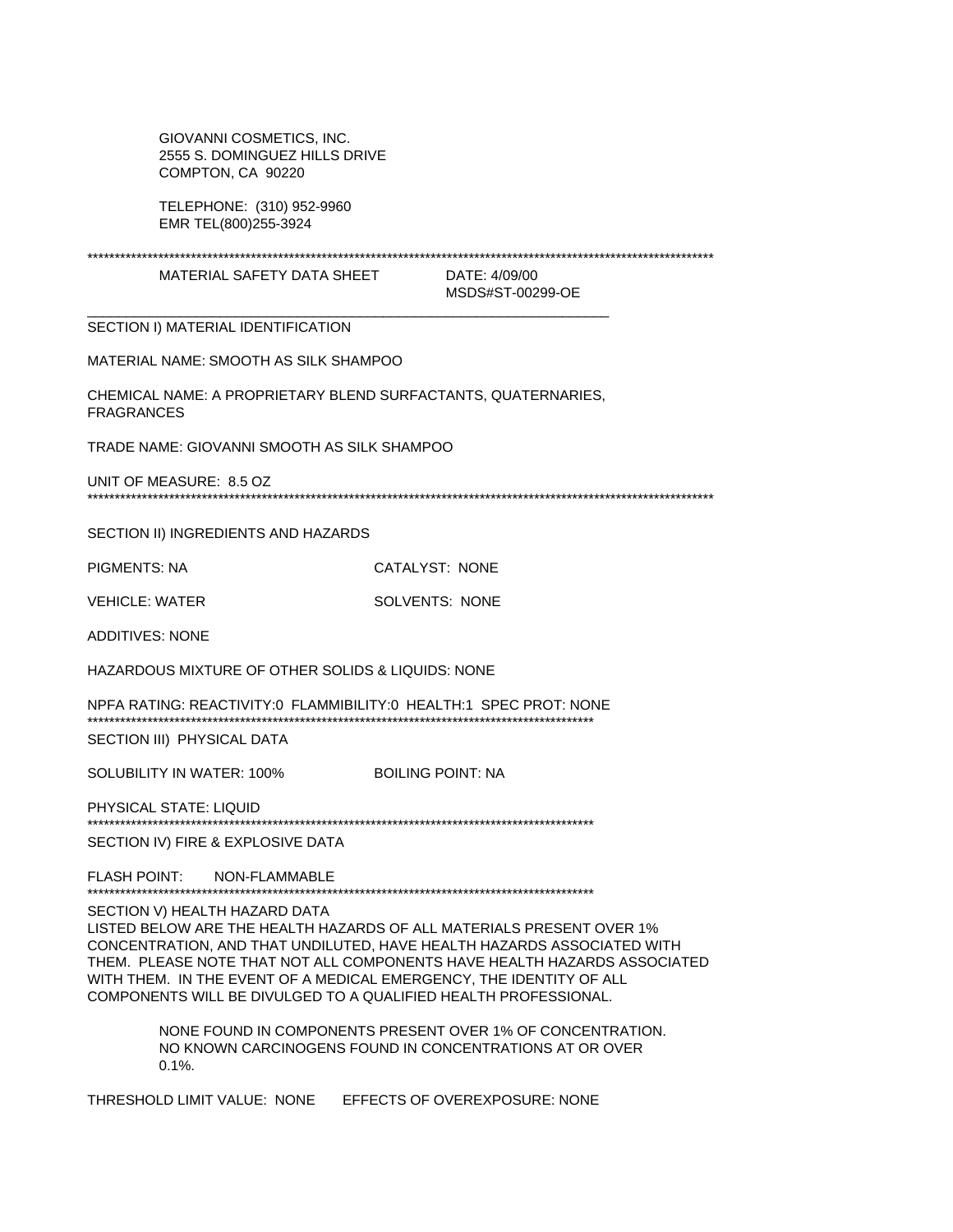GIOVANNI COSMETICS, INC. 2555 S. DOMINGUEZ HILLS DRIVE COMPTON, CA 90220

TELEPHONE: (310) 952-9960 EMR TEL(800)255-3924

MATERIAL SAFETY DATA SHEET

DATE: 4/09/00 MSDS#ST-00299-OE

SECTION I) MATERIAL IDENTIFICATION

MATERIAL NAME: SMOOTH AS SILK SHAMPOO

CHEMICAL NAME: A PROPRIETARY BLEND SURFACTANTS, QUATERNARIES, **FRAGRANCES** 

TRADE NAME: GIOVANNI SMOOTH AS SILK SHAMPOO

UNIT OF MEASURE: 8.5 OZ

SECTION II) INGREDIENTS AND HAZARDS

**PIGMENTS: NA** CATALYST: NONE

**VEHICLE: WATER** SOLVENTS: NONE

**ADDITIVES: NONE** 

HAZARDOUS MIXTURE OF OTHER SOLIDS & LIQUIDS: NONE

NPFA RATING: REACTIVITY:0 FLAMMIBILITY:0 HEALTH:1 SPEC PROT: NONE SECTION III) PHYSICAL DATA

SOLUBILITY IN WATER: 100% **BOILING POINT: NA** 

PHYSICAL STATE: LIQUID SECTION IV) FIRE & EXPLOSIVE DATA

FLASH POINT: NON-FLAMMABLE

SECTION V) HEALTH HAZARD DATA

LISTED BELOW ARE THE HEALTH HAZARDS OF ALL MATERIALS PRESENT OVER 1% CONCENTRATION, AND THAT UNDILUTED, HAVE HEALTH HAZARDS ASSOCIATED WITH THEM. PLEASE NOTE THAT NOT ALL COMPONENTS HAVE HEALTH HAZARDS ASSOCIATED WITH THEM. IN THE EVENT OF A MEDICAL EMERGENCY, THE IDENTITY OF ALL COMPONENTS WILL BE DIVULGED TO A QUALIFIED HEALTH PROFESSIONAL.

> NONE FOUND IN COMPONENTS PRESENT OVER 1% OF CONCENTRATION. NO KNOWN CARCINOGENS FOUND IN CONCENTRATIONS AT OR OVER  $0.1\%$ .

THRESHOLD LIMIT VALUE: NONE EFFECTS OF OVEREXPOSURE: NONE